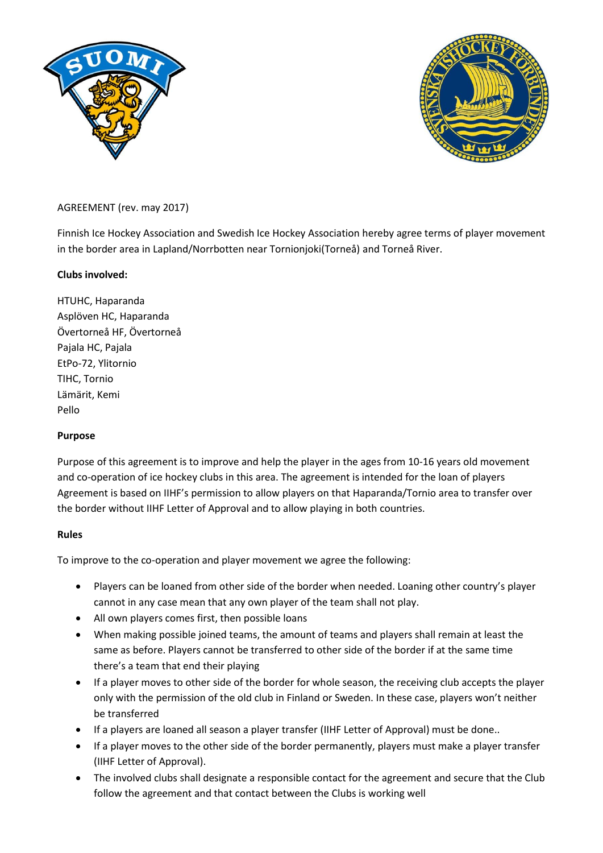



## AGREEMENT (rev. may 2017)

Finnish Ice Hockey Association and Swedish Ice Hockey Association hereby agree terms of player movement in the border area in Lapland/Norrbotten near Tornionjoki(Torneå) and Torneå River.

### **Clubs involved:**

HTUHC, Haparanda Asplöven HC, Haparanda Övertorneå HF, Övertorneå Pajala HC, Pajala EtPo-72, Ylitornio TIHC, Tornio Lämärit, Kemi Pello

### **Purpose**

Purpose of this agreement is to improve and help the player in the ages from 10-16 years old movement and co-operation of ice hockey clubs in this area. The agreement is intended for the loan of players Agreement is based on IIHF's permission to allow players on that Haparanda/Tornio area to transfer over the border without IIHF Letter of Approval and to allow playing in both countries.

### **Rules**

To improve to the co-operation and player movement we agree the following:

- Players can be loaned from other side of the border when needed. Loaning other country's player cannot in any case mean that any own player of the team shall not play.
- All own players comes first, then possible loans
- When making possible joined teams, the amount of teams and players shall remain at least the same as before. Players cannot be transferred to other side of the border if at the same time there's a team that end their playing
- If a player moves to other side of the border for whole season, the receiving club accepts the player only with the permission of the old club in Finland or Sweden. In these case, players won't neither be transferred
- If a players are loaned all season a player transfer (IIHF Letter of Approval) must be done..
- If a player moves to the other side of the border permanently, players must make a player transfer (IIHF Letter of Approval).
- The involved clubs shall designate a responsible contact for the agreement and secure that the Club follow the agreement and that contact between the Clubs is working well